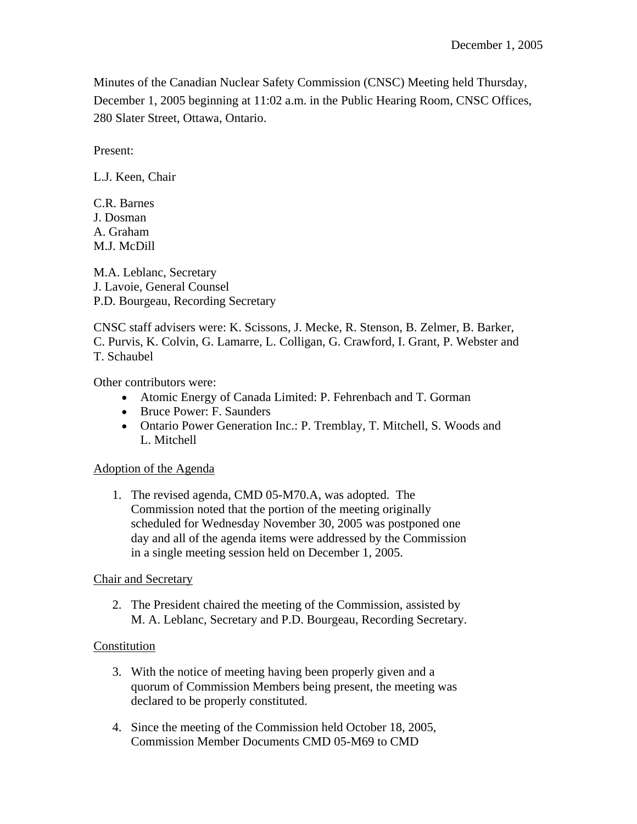Minutes of the Canadian Nuclear Safety Commission (CNSC) Meeting held Thursday, December 1, 2005 beginning at 11:02 a.m. in the Public Hearing Room, CNSC Offices, 280 Slater Street, Ottawa, Ontario.

Present:

L.J. Keen, Chair

C.R. Barnes J. Dosman A. Graham M.J. McDill

M.A. Leblanc, Secretary J. Lavoie, General Counsel P.D. Bourgeau, Recording Secretary

CNSC staff advisers were: K. Scissons, J. Mecke, R. Stenson, B. Zelmer, B. Barker, C. Purvis, K. Colvin, G. Lamarre, L. Colligan, G. Crawford, I. Grant, P. Webster and T. Schaubel

Other contributors were:

- Atomic Energy of Canada Limited: P. Fehrenbach and T. Gorman
- Bruce Power: F. Saunders
- Ontario Power Generation Inc.: P. Tremblay, T. Mitchell, S. Woods and L. Mitchell

# Adoption of the Agenda

1. The revised agenda, CMD 05-M70.A, was adopted. The Commission noted that the portion of the meeting originally scheduled for Wednesday November 30, 2005 was postponed one day and all of the agenda items were addressed by the Commission in a single meeting session held on December 1, 2005.

# Chair and Secretary

2. The President chaired the meeting of the Commission, assisted by M. A. Leblanc, Secretary and P.D. Bourgeau, Recording Secretary.

# Constitution

- 3. With the notice of meeting having been properly given and a quorum of Commission Members being present, the meeting was declared to be properly constituted.
- 4. Since the meeting of the Commission held October 18, 2005, Commission Member Documents CMD 05-M69 to CMD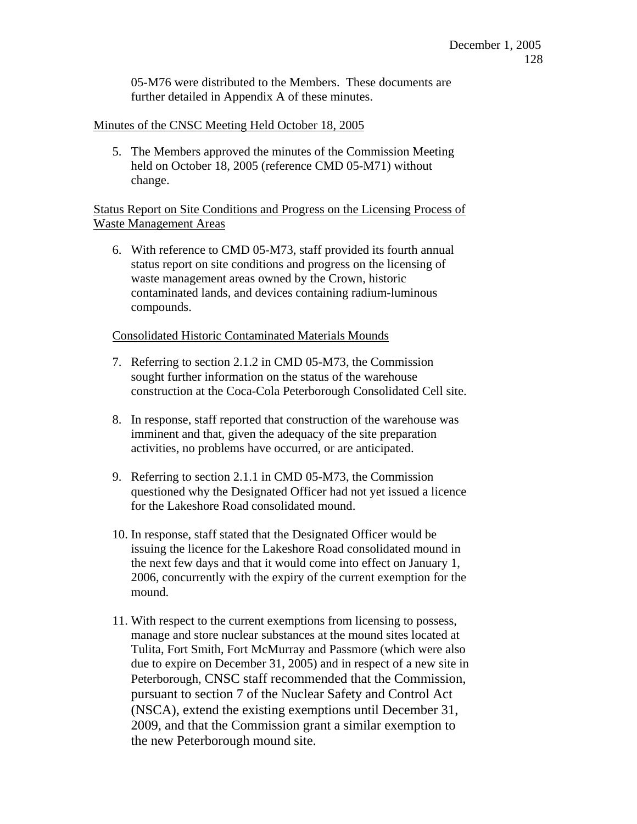05-M76 were distributed to the Members. These documents are further detailed in Appendix A of these minutes.

# Minutes of the CNSC Meeting Held October 18, 2005

5. The Members approved the minutes of the Commission Meeting held on October 18, 2005 (reference CMD 05-M71) without change.

Status Report on Site Conditions and Progress on the Licensing Process of Waste Management Areas

6. With reference to CMD 05-M73, staff provided its fourth annual status report on site conditions and progress on the licensing of waste management areas owned by the Crown, historic contaminated lands, and devices containing radium-luminous compounds.

# Consolidated Historic Contaminated Materials Mounds

- 7. Referring to section 2.1.2 in CMD 05-M73, the Commission sought further information on the status of the warehouse construction at the Coca-Cola Peterborough Consolidated Cell site.
- 8. In response, staff reported that construction of the warehouse was imminent and that, given the adequacy of the site preparation activities, no problems have occurred, or are anticipated.
- 9. Referring to section 2.1.1 in CMD 05-M73, the Commission questioned why the Designated Officer had not yet issued a licence for the Lakeshore Road consolidated mound.
- 10. In response, staff stated that the Designated Officer would be issuing the licence for the Lakeshore Road consolidated mound in the next few days and that it would come into effect on January 1, 2006, concurrently with the expiry of the current exemption for the mound.
- 11. With respect to the current exemptions from licensing to possess, manage and store nuclear substances at the mound sites located at Tulita, Fort Smith, Fort McMurray and Passmore (which were also due to expire on December 31, 2005) and in respect of a new site in Peterborough, CNSC staff recommended that the Commission, pursuant to section 7 of the Nuclear Safety and Control Act (NSCA), extend the existing exemptions until December 31, 2009, and that the Commission grant a similar exemption to the new Peterborough mound site.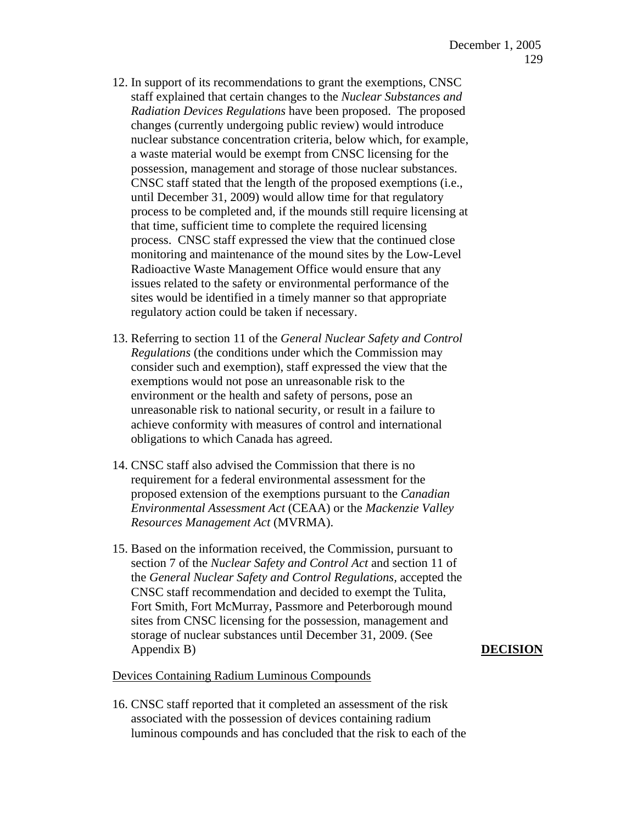- 12. In support of its recommendations to grant the exemptions, CNSC staff explained that certain changes to the *Nuclear Substances and Radiation Devices Regulations* have been proposed. The proposed changes (currently undergoing public review) would introduce nuclear substance concentration criteria, below which, for example, a waste material would be exempt from CNSC licensing for the possession, management and storage of those nuclear substances. CNSC staff stated that the length of the proposed exemptions (i.e., until December 31, 2009) would allow time for that regulatory process to be completed and, if the mounds still require licensing at that time, sufficient time to complete the required licensing process. CNSC staff expressed the view that the continued close monitoring and maintenance of the mound sites by the Low-Level Radioactive Waste Management Office would ensure that any issues related to the safety or environmental performance of the sites would be identified in a timely manner so that appropriate regulatory action could be taken if necessary.
- 13. Referring to section 11 of the *General Nuclear Safety and Control Regulations* (the conditions under which the Commission may consider such and exemption), staff expressed the view that the exemptions would not pose an unreasonable risk to the environment or the health and safety of persons, pose an unreasonable risk to national security, or result in a failure to achieve conformity with measures of control and international obligations to which Canada has agreed.
- 14. CNSC staff also advised the Commission that there is no requirement for a federal environmental assessment for the proposed extension of the exemptions pursuant to the *Canadian Environmental Assessment Act* (CEAA) or the *Mackenzie Valley Resources Management Act* (MVRMA).
- 15. Based on the information received, the Commission, pursuant to section 7 of the *Nuclear Safety and Control Act* and section 11 of the *General Nuclear Safety and Control Regulations,* accepted the CNSC staff recommendation and decided to exempt the Tulita, Fort Smith, Fort McMurray, Passmore and Peterborough mound sites from CNSC licensing for the possession, management and storage of nuclear substances until December 31, 2009. (See Appendix B) **DECISION**

Devices Containing Radium Luminous Compounds

16. CNSC staff reported that it completed an assessment of the risk associated with the possession of devices containing radium luminous compounds and has concluded that the risk to each of the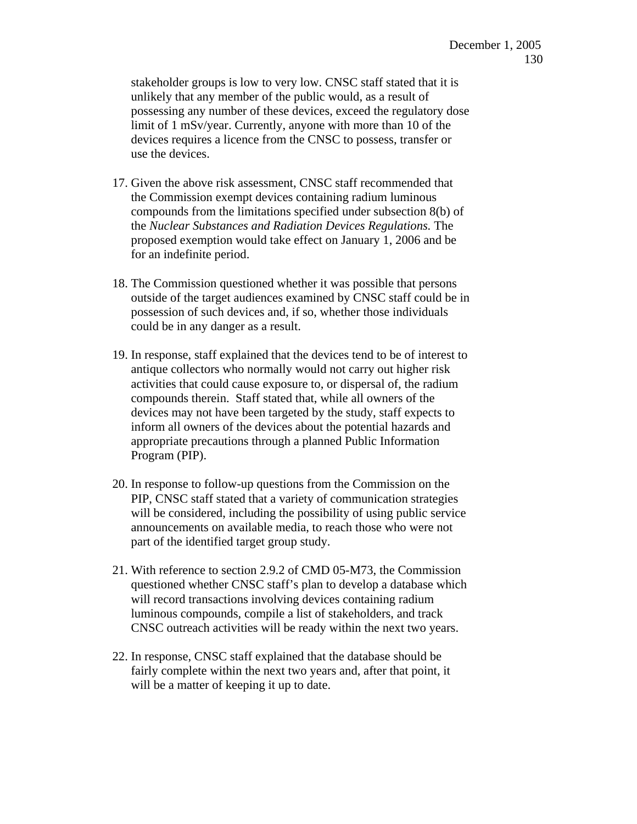stakeholder groups is low to very low. CNSC staff stated that it is unlikely that any member of the public would, as a result of possessing any number of these devices, exceed the regulatory dose limit of 1 mSv/year. Currently, anyone with more than 10 of the devices requires a licence from the CNSC to possess, transfer or use the devices.

- 17. Given the above risk assessment, CNSC staff recommended that the Commission exempt devices containing radium luminous compounds from the limitations specified under subsection 8(b) of the *Nuclear Substances and Radiation Devices Regulations.* The proposed exemption would take effect on January 1, 2006 and be for an indefinite period.
- 18. The Commission questioned whether it was possible that persons outside of the target audiences examined by CNSC staff could be in possession of such devices and, if so, whether those individuals could be in any danger as a result.
- 19. In response, staff explained that the devices tend to be of interest to antique collectors who normally would not carry out higher risk activities that could cause exposure to, or dispersal of, the radium compounds therein. Staff stated that, while all owners of the devices may not have been targeted by the study, staff expects to inform all owners of the devices about the potential hazards and appropriate precautions through a planned Public Information Program (PIP).
- 20. In response to follow-up questions from the Commission on the PIP, CNSC staff stated that a variety of communication strategies will be considered, including the possibility of using public service announcements on available media, to reach those who were not part of the identified target group study.
- 21. With reference to section 2.9.2 of CMD 05-M73, the Commission questioned whether CNSC staff's plan to develop a database which will record transactions involving devices containing radium luminous compounds, compile a list of stakeholders, and track CNSC outreach activities will be ready within the next two years.
- 22. In response, CNSC staff explained that the database should be fairly complete within the next two years and, after that point, it will be a matter of keeping it up to date.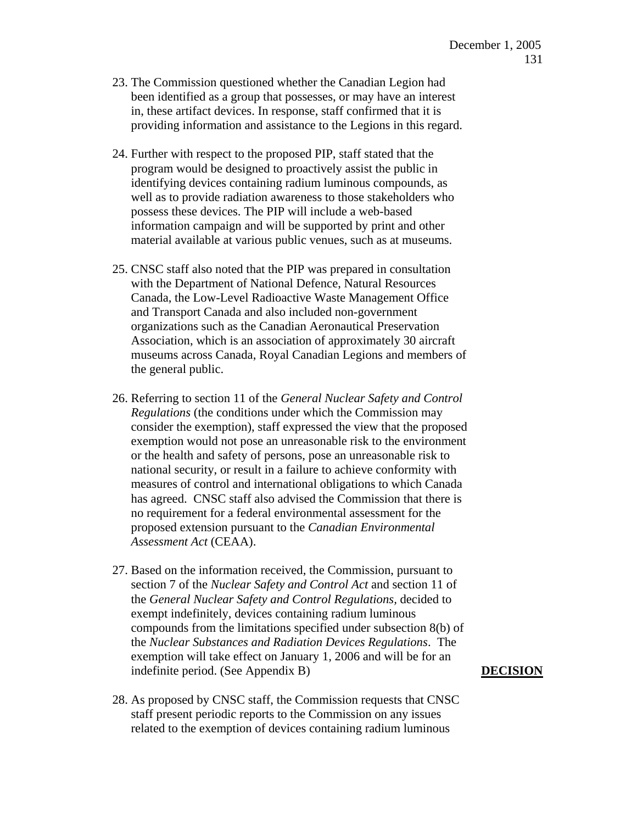- 23. The Commission questioned whether the Canadian Legion had been identified as a group that possesses, or may have an interest in, these artifact devices. In response, staff confirmed that it is providing information and assistance to the Legions in this regard.
- 24. Further with respect to the proposed PIP, staff stated that the program would be designed to proactively assist the public in identifying devices containing radium luminous compounds, as well as to provide radiation awareness to those stakeholders who possess these devices. The PIP will include a web-based information campaign and will be supported by print and other material available at various public venues, such as at museums.
- 25. CNSC staff also noted that the PIP was prepared in consultation with the Department of National Defence, Natural Resources Canada, the Low-Level Radioactive Waste Management Office and Transport Canada and also included non-government organizations such as the Canadian Aeronautical Preservation Association, which is an association of approximately 30 aircraft museums across Canada, Royal Canadian Legions and members of the general public.
- 26. Referring to section 11 of the *General Nuclear Safety and Control Regulations* (the conditions under which the Commission may consider the exemption), staff expressed the view that the proposed exemption would not pose an unreasonable risk to the environment or the health and safety of persons, pose an unreasonable risk to national security, or result in a failure to achieve conformity with measures of control and international obligations to which Canada has agreed. CNSC staff also advised the Commission that there is no requirement for a federal environmental assessment for the proposed extension pursuant to the *Canadian Environmental Assessment Act* (CEAA).
- 27. Based on the information received, the Commission, pursuant to section 7 of the *Nuclear Safety and Control Act* and section 11 of the *General Nuclear Safety and Control Regulations,* decided to exempt indefinitely, devices containing radium luminous compounds from the limitations specified under subsection 8(b) of the *Nuclear Substances and Radiation Devices Regulations*. The exemption will take effect on January 1, 2006 and will be for an indefinite period. (See Appendix B) **DECISION**
- 28. As proposed by CNSC staff, the Commission requests that CNSC staff present periodic reports to the Commission on any issues related to the exemption of devices containing radium luminous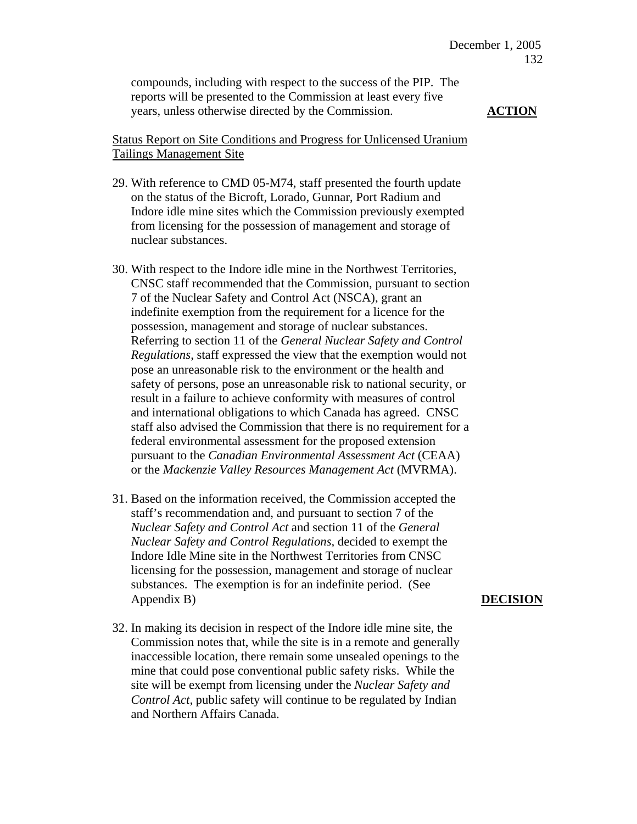compounds, including with respect to the success of the PIP. The reports will be presented to the Commission at least every five years, unless otherwise directed by the Commission. **ACTION**

# Status Report on Site Conditions and Progress for Unlicensed Uranium Tailings Management Site

- 29. With reference to CMD 05-M74, staff presented the fourth update on the status of the Bicroft, Lorado, Gunnar, Port Radium and Indore idle mine sites which the Commission previously exempted from licensing for the possession of management and storage of nuclear substances.
- 30. With respect to the Indore idle mine in the Northwest Territories, CNSC staff recommended that the Commission, pursuant to section 7 of the Nuclear Safety and Control Act (NSCA), grant an indefinite exemption from the requirement for a licence for the possession, management and storage of nuclear substances. Referring to section 11 of the *General Nuclear Safety and Control Regulations*, staff expressed the view that the exemption would not pose an unreasonable risk to the environment or the health and safety of persons, pose an unreasonable risk to national security, or result in a failure to achieve conformity with measures of control and international obligations to which Canada has agreed. CNSC staff also advised the Commission that there is no requirement for a federal environmental assessment for the proposed extension pursuant to the *Canadian Environmental Assessment Act* (CEAA) or the *Mackenzie Valley Resources Management Act* (MVRMA).
- 31. Based on the information received, the Commission accepted the staff's recommendation and, and pursuant to section 7 of the *Nuclear Safety and Control Act* and section 11 of the *General Nuclear Safety and Control Regulations,* decided to exempt the Indore Idle Mine site in the Northwest Territories from CNSC licensing for the possession, management and storage of nuclear substances. The exemption is for an indefinite period. (See Appendix B) **DECISION**
- 32. In making its decision in respect of the Indore idle mine site, the Commission notes that, while the site is in a remote and generally inaccessible location, there remain some unsealed openings to the mine that could pose conventional public safety risks. While the site will be exempt from licensing under the *Nuclear Safety and Control Act,* public safety will continue to be regulated by Indian and Northern Affairs Canada.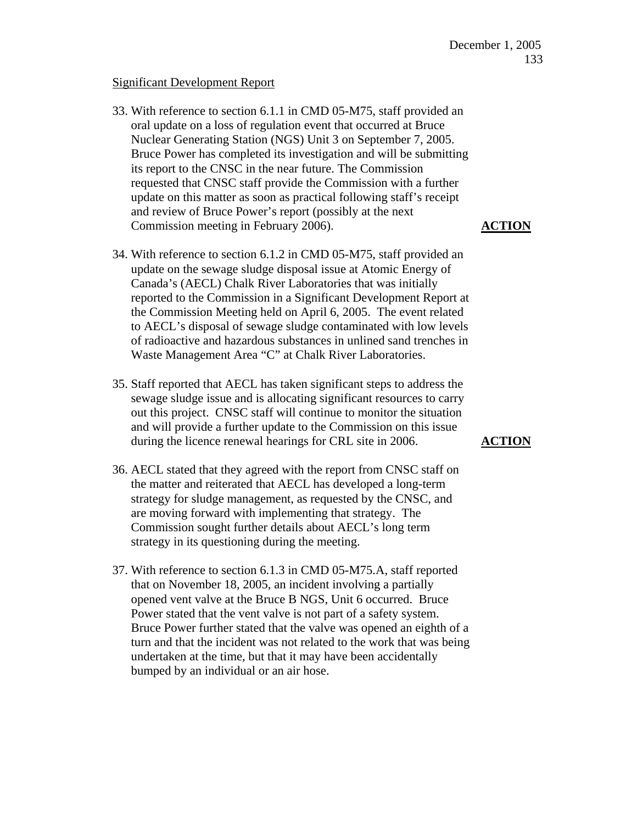## Significant Development Report

- 33. With reference to section 6.1.1 in CMD 05-M75, staff provided an oral update on a loss of regulation event that occurred at Bruce Nuclear Generating Station (NGS) Unit 3 on September 7, 2005. Bruce Power has completed its investigation and will be submitting its report to the CNSC in the near future. The Commission requested that CNSC staff provide the Commission with a further update on this matter as soon as practical following staff's receipt and review of Bruce Power's report (possibly at the next Commission meeting in February 2006). **ACTION**
- 34. With reference to section 6.1.2 in CMD 05-M75, staff provided an update on the sewage sludge disposal issue at Atomic Energy of Canada's (AECL) Chalk River Laboratories that was initially reported to the Commission in a Significant Development Report at the Commission Meeting held on April 6, 2005. The event related to AECL's disposal of sewage sludge contaminated with low levels of radioactive and hazardous substances in unlined sand trenches in Waste Management Area "C" at Chalk River Laboratories.
- 35. Staff reported that AECL has taken significant steps to address the sewage sludge issue and is allocating significant resources to carry out this project. CNSC staff will continue to monitor the situation and will provide a further update to the Commission on this issue during the licence renewal hearings for CRL site in 2006. **ACTION**
- 36. AECL stated that they agreed with the report from CNSC staff on the matter and reiterated that AECL has developed a long-term strategy for sludge management, as requested by the CNSC, and are moving forward with implementing that strategy. The Commission sought further details about AECL's long term strategy in its questioning during the meeting.
- 37. With reference to section 6.1.3 in CMD 05-M75.A, staff reported that on November 18, 2005, an incident involving a partially opened vent valve at the Bruce B NGS, Unit 6 occurred. Bruce Power stated that the vent valve is not part of a safety system. Bruce Power further stated that the valve was opened an eighth of a turn and that the incident was not related to the work that was being undertaken at the time, but that it may have been accidentally bumped by an individual or an air hose.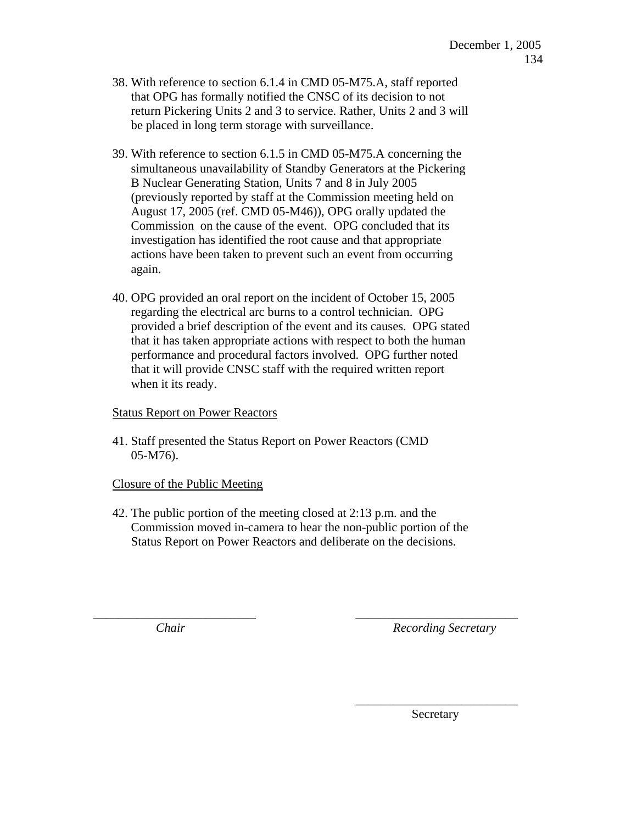- 38. With reference to section 6.1.4 in CMD 05-M75.A, staff reported that OPG has formally notified the CNSC of its decision to not return Pickering Units 2 and 3 to service. Rather, Units 2 and 3 will be placed in long term storage with surveillance.
- 39. With reference to section 6.1.5 in CMD 05-M75.A concerning the simultaneous unavailability of Standby Generators at the Pickering B Nuclear Generating Station, Units 7 and 8 in July 2005 (previously reported by staff at the Commission meeting held on August 17, 2005 (ref. CMD 05-M46)), OPG orally updated the Commission on the cause of the event. OPG concluded that its investigation has identified the root cause and that appropriate actions have been taken to prevent such an event from occurring again.
- 40. OPG provided an oral report on the incident of October 15, 2005 regarding the electrical arc burns to a control technician. OPG provided a brief description of the event and its causes. OPG stated that it has taken appropriate actions with respect to both the human performance and procedural factors involved. OPG further noted that it will provide CNSC staff with the required written report when it its ready.

# Status Report on Power Reactors

41. Staff presented the Status Report on Power Reactors (CMD 05-M76).

# Closure of the Public Meeting

42. The public portion of the meeting closed at 2:13 p.m. and the Commission moved in-camera to hear the non-public portion of the Status Report on Power Reactors and deliberate on the decisions.

\_\_\_\_\_\_\_\_\_\_\_\_\_\_\_\_\_\_\_\_\_\_\_\_\_\_ \_\_\_\_\_\_\_\_\_\_\_\_\_\_\_\_\_\_\_\_\_\_\_\_\_\_

 $\overline{\phantom{a}}$  , which is a set of the set of the set of the set of the set of the set of the set of the set of the set of the set of the set of the set of the set of the set of the set of the set of the set of the set of th

*Chair Recording Secretary* 

Secretary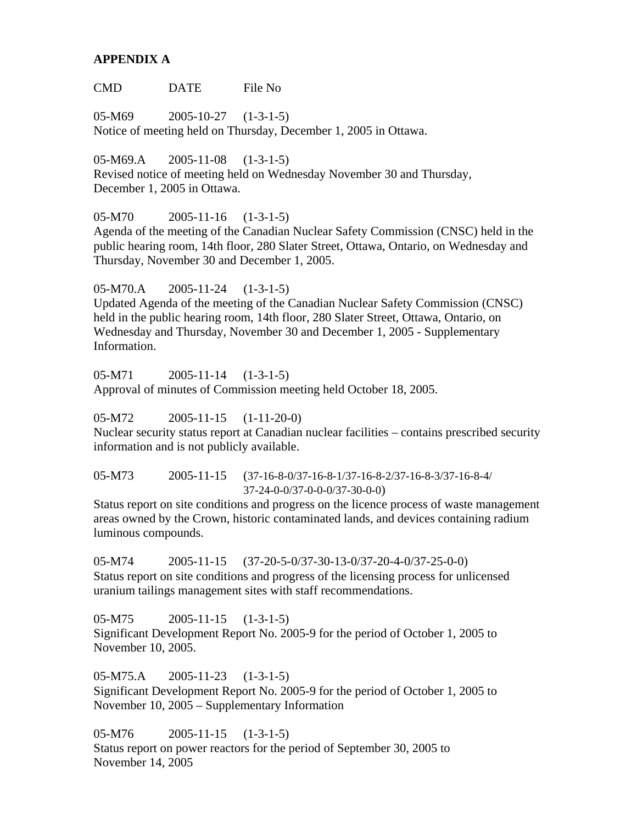# **APPENDIX A**

CMD DATE File No

05-M69 2005-10-27 (1-3-1-5) Notice of meeting held on Thursday, December 1, 2005 in Ottawa.

05-M69.A 2005-11-08 (1-3-1-5) Revised notice of meeting held on Wednesday November 30 and Thursday,

December 1, 2005 in Ottawa.

05-M70 2005-11-16 (1-3-1-5)

Agenda of the meeting of the Canadian Nuclear Safety Commission (CNSC) held in the public hearing room, 14th floor, 280 Slater Street, Ottawa, Ontario, on Wednesday and Thursday, November 30 and December 1, 2005.

05-M70.A 2005-11-24 (1-3-1-5)

Updated Agenda of the meeting of the Canadian Nuclear Safety Commission (CNSC) held in the public hearing room, 14th floor, 280 Slater Street, Ottawa, Ontario, on Wednesday and Thursday, November 30 and December 1, 2005 - Supplementary Information.

05-M71 2005-11-14 (1-3-1-5) Approval of minutes of Commission meeting held October 18, 2005.

05-M72 2005-11-15 (1-11-20-0)

Nuclear security status report at Canadian nuclear facilities – contains prescribed security information and is not publicly available.

05-M73 2005-11-15 (37-16-8-0/37-16-8-1/37-16-8-2/37-16-8-3/37-16-8-4/ 37-24-0-0/37-0-0-0/37-30-0-0)

Status report on site conditions and progress on the licence process of waste management areas owned by the Crown, historic contaminated lands, and devices containing radium luminous compounds.

05-M74 2005-11-15 (37-20-5-0/37-30-13-0/37-20-4-0/37-25-0-0) Status report on site conditions and progress of the licensing process for unlicensed uranium tailings management sites with staff recommendations.

05-M75 2005-11-15 (1-3-1-5) Significant Development Report No. 2005-9 for the period of October 1, 2005 to November 10, 2005.

05-M75.A 2005-11-23 (1-3-1-5) Significant Development Report No. 2005-9 for the period of October 1, 2005 to November 10, 2005 – Supplementary Information

05-M76 2005-11-15 (1-3-1-5) Status report on power reactors for the period of September 30, 2005 to November 14, 2005